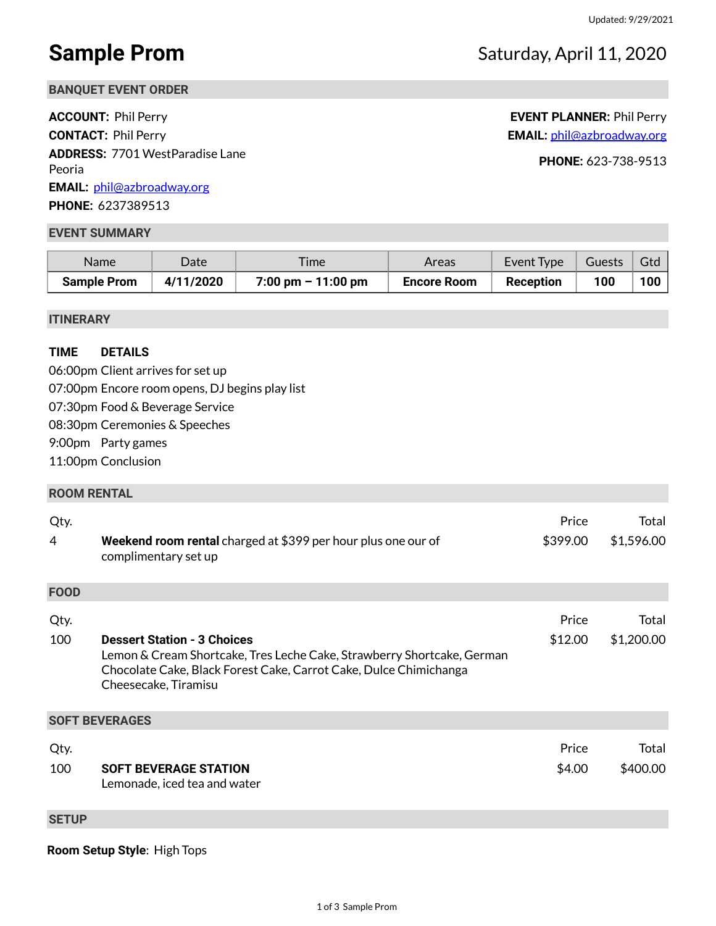## **Sample Prom** Saturday, April 11, 2020

**BANQUET EVENT ORDER**

**ACCOUNT:** Phil Perry **EVENT PLANNER:** Phil Perry **CONTACT:** Phil Perry **EMAIL:** [phil@azbroadway.org](mailto:phil@azbroadway.org) **ADDRESS:** 7701 WestParadise Lane Peoria **PHONE:** 623-738-9513 **EMAIL:** [phil@azbroadway.org](mailto:phil@azbroadway.org) **PHONE:** 6237389513

#### **EVENT SUMMARY**

| Name               | Date      | <i>ime</i>                           | Areas              | Event Type | Guests | Gtd |
|--------------------|-----------|--------------------------------------|--------------------|------------|--------|-----|
| <b>Sample Prom</b> | 4/11/2020 | $7:00 \text{ pm} - 11:00 \text{ pm}$ | <b>Encore Room</b> | Reception  | 100    | 100 |

#### **ITINERARY**

### **TIME DETAILS**

06:00pm Client arrives for set up 07:00pm Encore room opens, DJ begins play list 07:30pm Food & Beverage Service 08:30pm Ceremonies & Speeches 9:00pm Party games 11:00pm Conclusion

#### **ROOM RENTAL**

| Qty.<br>4   | Weekend room rental charged at \$399 per hour plus one our of<br>complimentary set up                                                                                                                     | Price<br>\$399.00 | Total<br>\$1,596.00 |
|-------------|-----------------------------------------------------------------------------------------------------------------------------------------------------------------------------------------------------------|-------------------|---------------------|
| <b>FOOD</b> |                                                                                                                                                                                                           |                   |                     |
| Qty.        |                                                                                                                                                                                                           | Price             | Total               |
| 100         | <b>Dessert Station - 3 Choices</b><br>Lemon & Cream Shortcake, Tres Leche Cake, Strawberry Shortcake, German<br>Chocolate Cake, Black Forest Cake, Carrot Cake, Dulce Chimichanga<br>Cheesecake, Tiramisu | \$12.00           | \$1,200.00          |
|             | <b>SOFT BEVERAGES</b>                                                                                                                                                                                     |                   |                     |
| Qty.<br>100 | <b>SOFT BEVERAGE STATION</b><br>Lemonade, iced tea and water                                                                                                                                              | Price<br>\$4.00   | Total<br>\$400.00   |

### **SETUP**

**Room Setup Style**: High Tops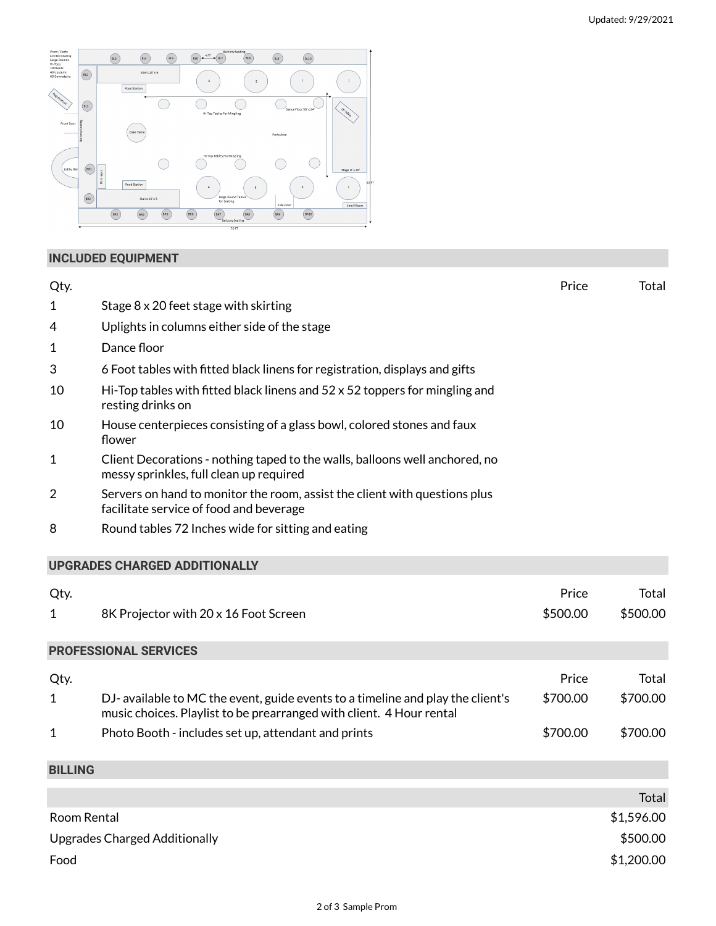

## **INCLUDED EQUIPMENT**

| Qty.                                 |                                                                                                                                                         | Price    | Total        |
|--------------------------------------|---------------------------------------------------------------------------------------------------------------------------------------------------------|----------|--------------|
| 1                                    | Stage 8 x 20 feet stage with skirting                                                                                                                   |          |              |
| 4                                    | Uplights in columns either side of the stage                                                                                                            |          |              |
| 1                                    | Dance floor                                                                                                                                             |          |              |
| 3                                    | 6 Foot tables with fitted black linens for registration, displays and gifts                                                                             |          |              |
| 10                                   | Hi-Top tables with fitted black linens and 52 x 52 toppers for mingling and<br>resting drinks on                                                        |          |              |
| 10                                   | House centerpieces consisting of a glass bowl, colored stones and faux<br>flower                                                                        |          |              |
| 1                                    | Client Decorations - nothing taped to the walls, balloons well anchored, no<br>messy sprinkles, full clean up required                                  |          |              |
| $\overline{2}$                       | Servers on hand to monitor the room, assist the client with questions plus<br>facilitate service of food and beverage                                   |          |              |
| 8                                    | Round tables 72 Inches wide for sitting and eating                                                                                                      |          |              |
|                                      | <b>UPGRADES CHARGED ADDITIONALLY</b>                                                                                                                    |          |              |
| Qty.                                 |                                                                                                                                                         | Price    | <b>Total</b> |
| $\mathbf{1}$                         | 8K Projector with 20 x 16 Foot Screen                                                                                                                   | \$500.00 | \$500.00     |
|                                      | <b>PROFESSIONAL SERVICES</b>                                                                                                                            |          |              |
| Qty.                                 |                                                                                                                                                         | Price    | Total        |
| $\mathbf{1}$                         | DJ- available to MC the event, guide events to a timeline and play the client's<br>music choices. Playlist to be prearranged with client. 4 Hour rental | \$700.00 | \$700.00     |
| 1                                    | Photo Booth - includes set up, attendant and prints                                                                                                     | \$700.00 | \$700.00     |
| <b>BILLING</b>                       |                                                                                                                                                         |          |              |
|                                      |                                                                                                                                                         |          | Total        |
| Room Rental                          |                                                                                                                                                         |          | \$1,596.00   |
| <b>Upgrades Charged Additionally</b> |                                                                                                                                                         |          | \$500.00     |
| Food                                 |                                                                                                                                                         |          | \$1,200.00   |